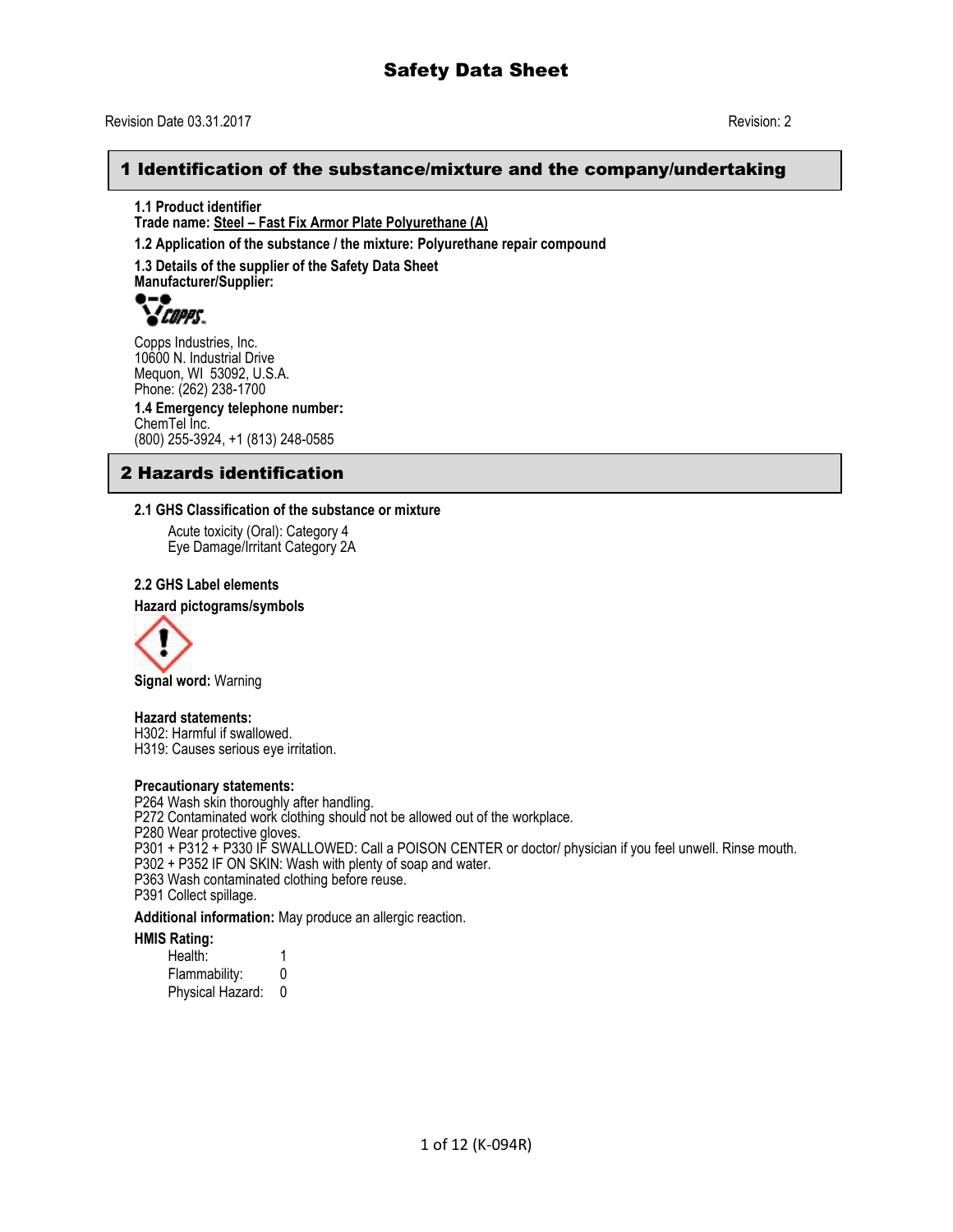# Revision Date 03.31.2017 Revision: 2

## 1 Identification of the substance/mixture and the company/undertaking

**1.1 Product identifier Trade name: Steel – Fast Fix Armor Plate Polyurethane (A)**

**1.2 Application of the substance / the mixture: Polyurethane repair compound**

**1.3 Details of the supplier of the Safety Data Sheet Manufacturer/Supplier:**



Copps Industries, Inc. 10600 N. Industrial Drive Mequon, WI 53092, U.S.A. Phone: (262) 238-1700

**1.4 Emergency telephone number:** ChemTel Inc. (800) 255-3924, +1 (813) 248-0585

# 2 Hazards identification

### **2.1 GHS Classification of the substance or mixture**

Acute toxicity (Oral): Category 4 Eye Damage/Irritant Category 2A

**2.2 GHS Label elements**

## **Hazard pictograms/symbols**



**Hazard statements:** H302: Harmful if swallowed. H319: Causes serious eye irritation.

#### **Precautionary statements:**

P264 Wash skin thoroughly after handling. P272 Contaminated work clothing should not be allowed out of the workplace. P280 Wear protective gloves. P301 + P312 + P330 IF SWALLOWED: Call a POISON CENTER or doctor/ physician if you feel unwell. Rinse mouth. P302 + P352 IF ON SKIN: Wash with plenty of soap and water. P363 Wash contaminated clothing before reuse.

P391 Collect spillage.

**Additional information:** May produce an allergic reaction.

#### **HMIS Rating:**

| Health:          |   |
|------------------|---|
| Flammability:    | O |
| Physical Hazard: | O |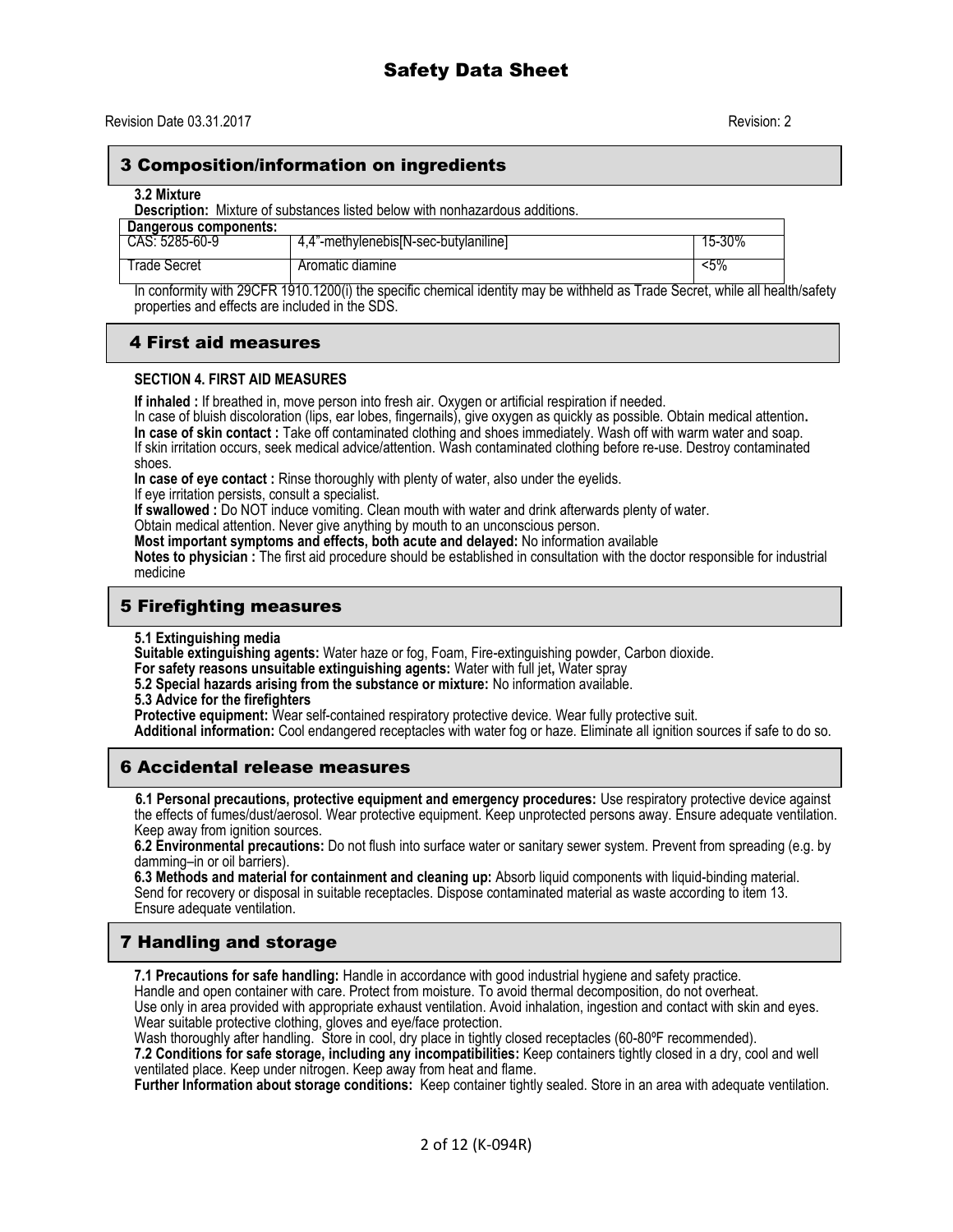# 3 Composition/information on ingredients

#### **3.2 Mixture**

**Description:** Mixture of substances listed below with nonhazardous additions.

| Dangerous components: |                                      |        |
|-----------------------|--------------------------------------|--------|
| CAS: 5285-60-9        | 4.4"-methylenebis N-sec-butylaniline | 15-30% |
| l rade Secret         | Aromatic diamine                     | <5%    |

In conformity with 29CFR 1910.1200(i) the specific chemical identity may be withheld as Trade Secret, while all health/safety properties and effects are included in the SDS.

# 4 First aid measures

#### **SECTION 4. FIRST AID MEASURES**

**If inhaled :** If breathed in, move person into fresh air. Oxygen or artificial respiration if needed.

In case of bluish discoloration (lips, ear lobes, fingernails), give oxygen as quickly as possible. Obtain medical attention**. In case of skin contact :** Take off contaminated clothing and shoes immediately. Wash off with warm water and soap. If skin irritation occurs, seek medical advice/attention. Wash contaminated clothing before re-use. Destroy contaminated shoes.

**In case of eye contact :** Rinse thoroughly with plenty of water, also under the eyelids.

If eye irritation persists, consult a specialist.

**If swallowed :** Do NOT induce vomiting. Clean mouth with water and drink afterwards plenty of water.

Obtain medical attention. Never give anything by mouth to an unconscious person.

**Most important symptoms and effects, both acute and delayed:** No information available

**Notes to physician :** The first aid procedure should be established in consultation with the doctor responsible for industrial medicine

# 5 Firefighting measures

**5.1 Extinguishing media**

**Suitable extinguishing agents:** Water haze or fog, Foam, Fire-extinguishing powder, Carbon dioxide.

**For safety reasons unsuitable extinguishing agents:** Water with full jet**,** Water spray

**5.2 Special hazards arising from the substance or mixture:** No information available.

**5.3 Advice for the firefighters**

**Protective equipment:** Wear self-contained respiratory protective device. Wear fully protective suit.

**Additional information:** Cool endangered receptacles with water fog or haze. Eliminate all ignition sources if safe to do so.

# 6 Accidental release measures

 **6.1 Personal precautions, protective equipment and emergency procedures:** Use respiratory protective device against the effects of fumes/dust/aerosol. Wear protective equipment. Keep unprotected persons away. Ensure adequate ventilation. Keep away from ignition sources.

**6.2 Environmental precautions:** Do not flush into surface water or sanitary sewer system. Prevent from spreading (e.g. by damming–in or oil barriers).

**6.3 Methods and material for containment and cleaning up:** Absorb liquid components with liquid-binding material. Send for recovery or disposal in suitable receptacles. Dispose contaminated material as waste according to item 13. Ensure adequate ventilation.

# 7 Handling and storage

**7.1 Precautions for safe handling:** Handle in accordance with good industrial hygiene and safety practice.

Handle and open container with care. Protect from moisture. To avoid thermal decomposition, do not overheat.

Use only in area provided with appropriate exhaust ventilation. Avoid inhalation, ingestion and contact with skin and eyes. Wear suitable protective clothing, gloves and eye/face protection.

Wash thoroughly after handling. Store in cool, dry place in tightly closed receptacles (60-80ºF recommended).

**7.2 Conditions for safe storage, including any incompatibilities:** Keep containers tightly closed in a dry, cool and well ventilated place. Keep under nitrogen. Keep away from heat and flame.

**Further Information about storage conditions:** Keep container tightly sealed. Store in an area with adequate ventilation.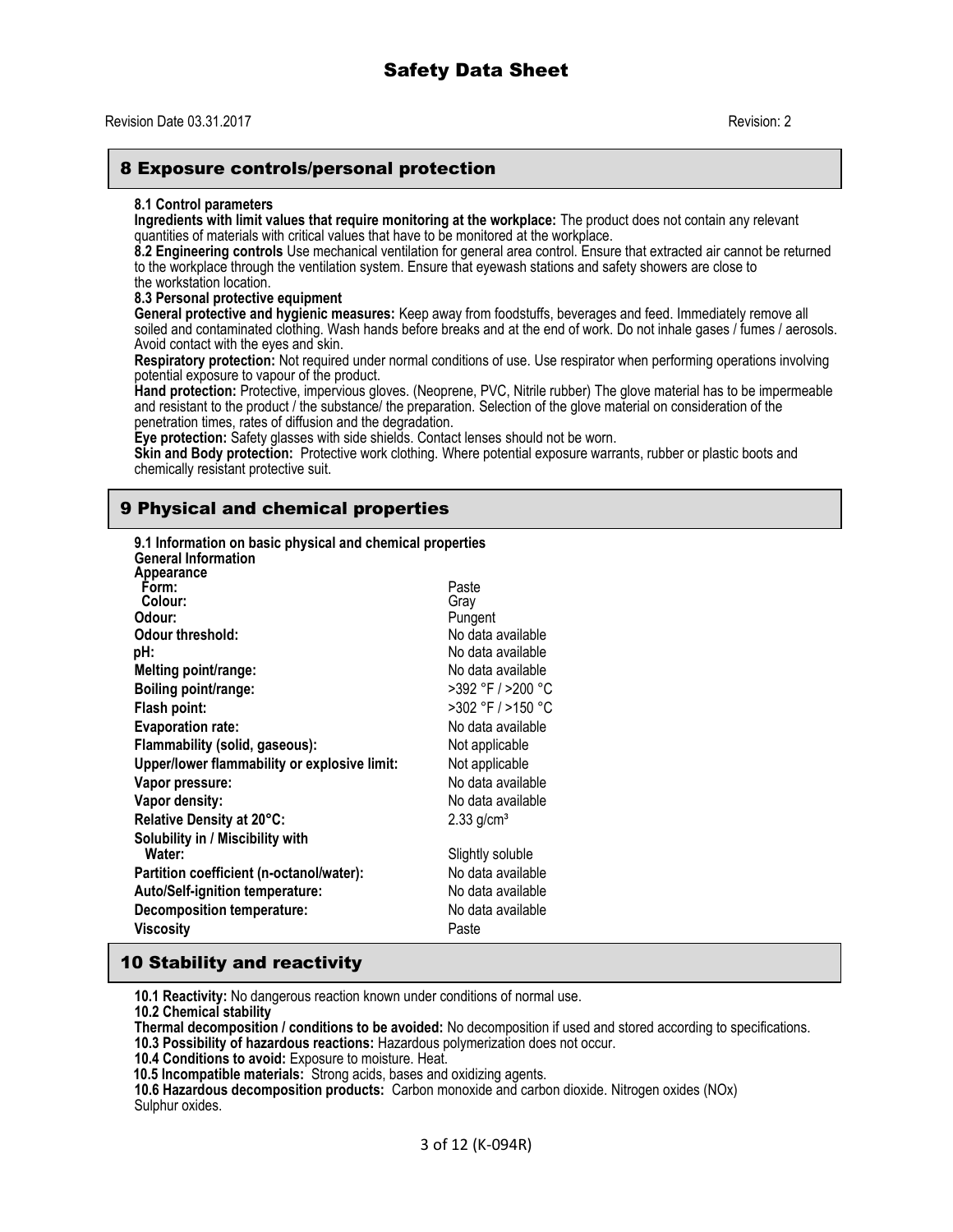### 8 Exposure controls/personal protection

#### **8.1 Control parameters**

**Ingredients with limit values that require monitoring at the workplace:** The product does not contain any relevant quantities of materials with critical values that have to be monitored at the workplace.

**8.2 Engineering controls** Use mechanical ventilation for general area control. Ensure that extracted air cannot be returned to the workplace through the ventilation system. Ensure that eyewash stations and safety showers are close to the workstation location.

#### **8.3 Personal protective equipment**

**General protective and hygienic measures:** Keep away from foodstuffs, beverages and feed. Immediately remove all soiled and contaminated clothing. Wash hands before breaks and at the end of work. Do not inhale gases / fumes / aerosols. Avoid contact with the eyes and skin.

**Respiratory protection:** Not required under normal conditions of use. Use respirator when performing operations involving potential exposure to vapour of the product.

**Hand protection:** Protective, impervious gloves. (Neoprene, PVC, Nitrile rubber) The glove material has to be impermeable and resistant to the product / the substance/ the preparation. Selection of the glove material on consideration of the penetration times, rates of diffusion and the degradation.

**Eye protection:** Safety glasses with side shields. Contact lenses should not be worn.

**Skin and Body protection:** Protective work clothing. Where potential exposure warrants, rubber or plastic boots and chemically resistant protective suit.

# 9 Physical and chemical properties

| 9.1 Information on basic physical and chemical properties |  |  |
|-----------------------------------------------------------|--|--|
| <b>General Information</b>                                |  |  |

| Appearance                                   |                          |
|----------------------------------------------|--------------------------|
| Form:                                        | Paste                    |
| Colour:                                      | Gray                     |
| Odour:                                       | Pungent                  |
| Odour threshold:                             | No data available        |
| pH:                                          | No data available        |
| Melting point/range:                         | No data available        |
| Boiling point/range:                         | >392 °F / >200 °C        |
| Flash point:                                 | >302 °F / >150 °C        |
| <b>Evaporation rate:</b>                     | No data available        |
| Flammability (solid, gaseous):               | Not applicable           |
| Upper/lower flammability or explosive limit: | Not applicable           |
| Vapor pressure:                              | No data available        |
| Vapor density:                               | No data available        |
| Relative Density at 20°C:                    | $2.33$ g/cm <sup>3</sup> |
| Solubility in / Miscibility with             |                          |
| Water:                                       | Slightly soluble         |
| Partition coefficient (n-octanol/water):     | No data available        |
| <b>Auto/Self-ignition temperature:</b>       | No data available        |
| Decomposition temperature:                   | No data available        |
| Viscosity                                    | Paste                    |

# 10 Stability and reactivity

**10.1 Reactivity:** No dangerous reaction known under conditions of normal use.

**10.2 Chemical stability**

**Thermal decomposition / conditions to be avoided:** No decomposition if used and stored according to specifications.

**10.3 Possibility of hazardous reactions:** Hazardous polymerization does not occur.

**10.4 Conditions to avoid:** Exposure to moisture. Heat.

 **10.5 Incompatible materials:** Strong acids, bases and oxidizing agents.

**10.6 Hazardous decomposition products:** Carbon monoxide and carbon dioxide. Nitrogen oxides (NOx) Sulphur oxides.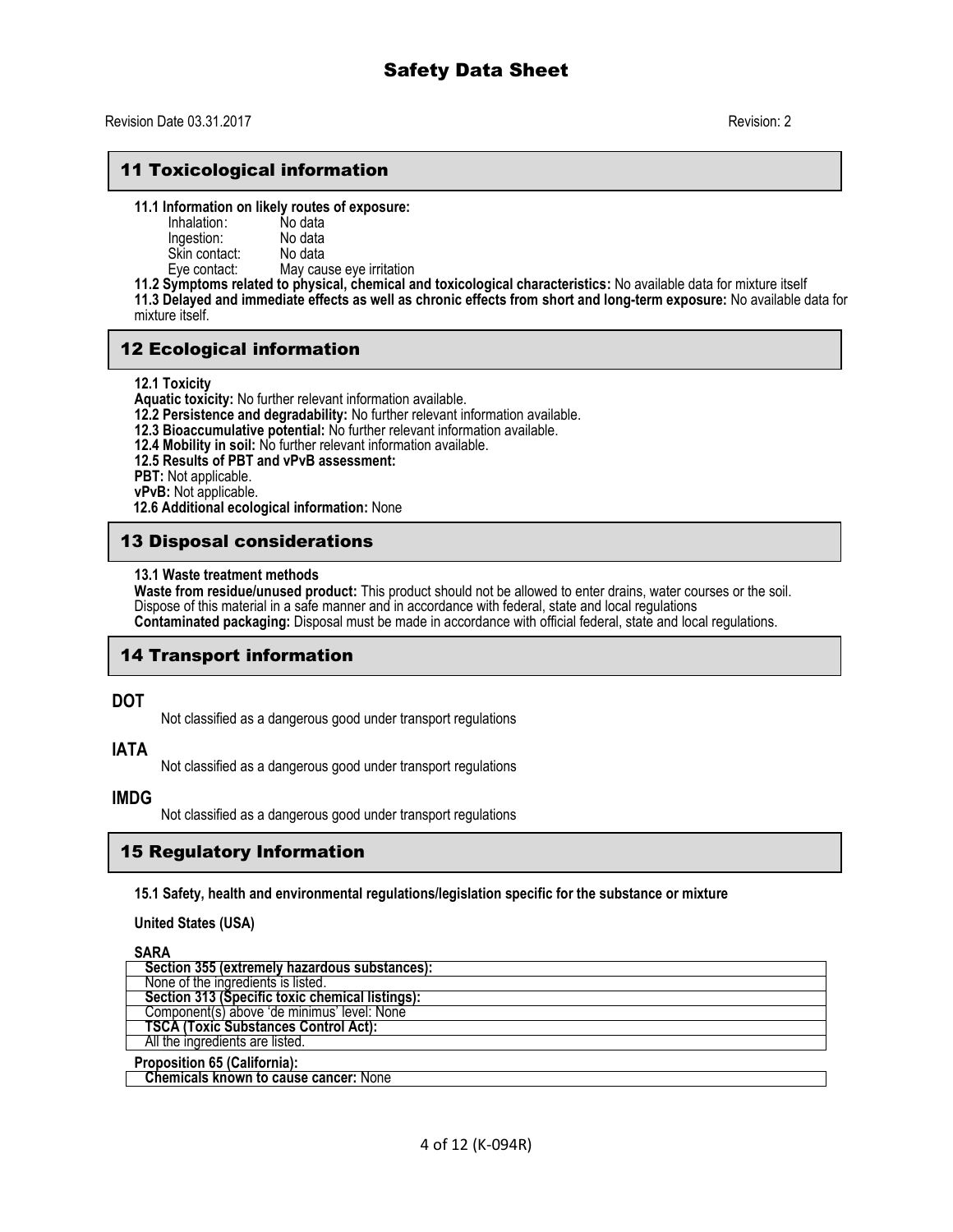# 11 Toxicological information

**11.1 Information on likely routes of exposure:**

Inhalation: No data<br>Ingestion: No data Ingestion: Skin contact: No data<br>
Eye contact: May cau

May cause eye irritation

- **11.2 Symptoms related to physical, chemical and toxicological characteristics:** No available data for mixture itself
- **11.3 Delayed and immediate effects as well as chronic effects from short and long-term exposure:** No available data for mixture itself.

# 12 Ecological information

**12.1 Toxicity** 

**Aquatic toxicity:** No further relevant information available.

**12.2 Persistence and degradability:** No further relevant information available.

**12.3 Bioaccumulative potential:** No further relevant information available.

- **12.4 Mobility in soil:** No further relevant information available.
- **12.5 Results of PBT and vPvB assessment:**
- **PBT:** Not applicable.

**vPvB:** Not applicable.

 **12.6 Additional ecological information:** None

# 13 Disposal considerations

## **13.1 Waste treatment methods**

**Waste from residue/unused product:** This product should not be allowed to enter drains, water courses or the soil. Dispose of this material in a safe manner and in accordance with federal, state and local regulations **Contaminated packaging:** Disposal must be made in accordance with official federal, state and local regulations.

# 14 Transport information

## **DOT**

Not classified as a dangerous good under transport regulations

## **IATA**

Not classified as a dangerous good under transport regulations

## **IMDG**

Not classified as a dangerous good under transport regulations

# 15 Regulatory Information

#### **15.1 Safety, health and environmental regulations/legislation specific for the substance or mixture**

**United States (USA)**

**SARA**

| Section 355 (extremely hazardous substances):   |
|-------------------------------------------------|
| None of the ingredients is listed.              |
| Section 313 (Specific toxic chemical listings): |
| Component(s) above 'de minimus' level: None     |
| <b>TSCA (Toxic Substances Control Act):</b>     |
| All the ingredients are listed.                 |
| <b>Proposition 65 (California):</b>             |
| <b>Chemicals known to cause cancer: None</b>    |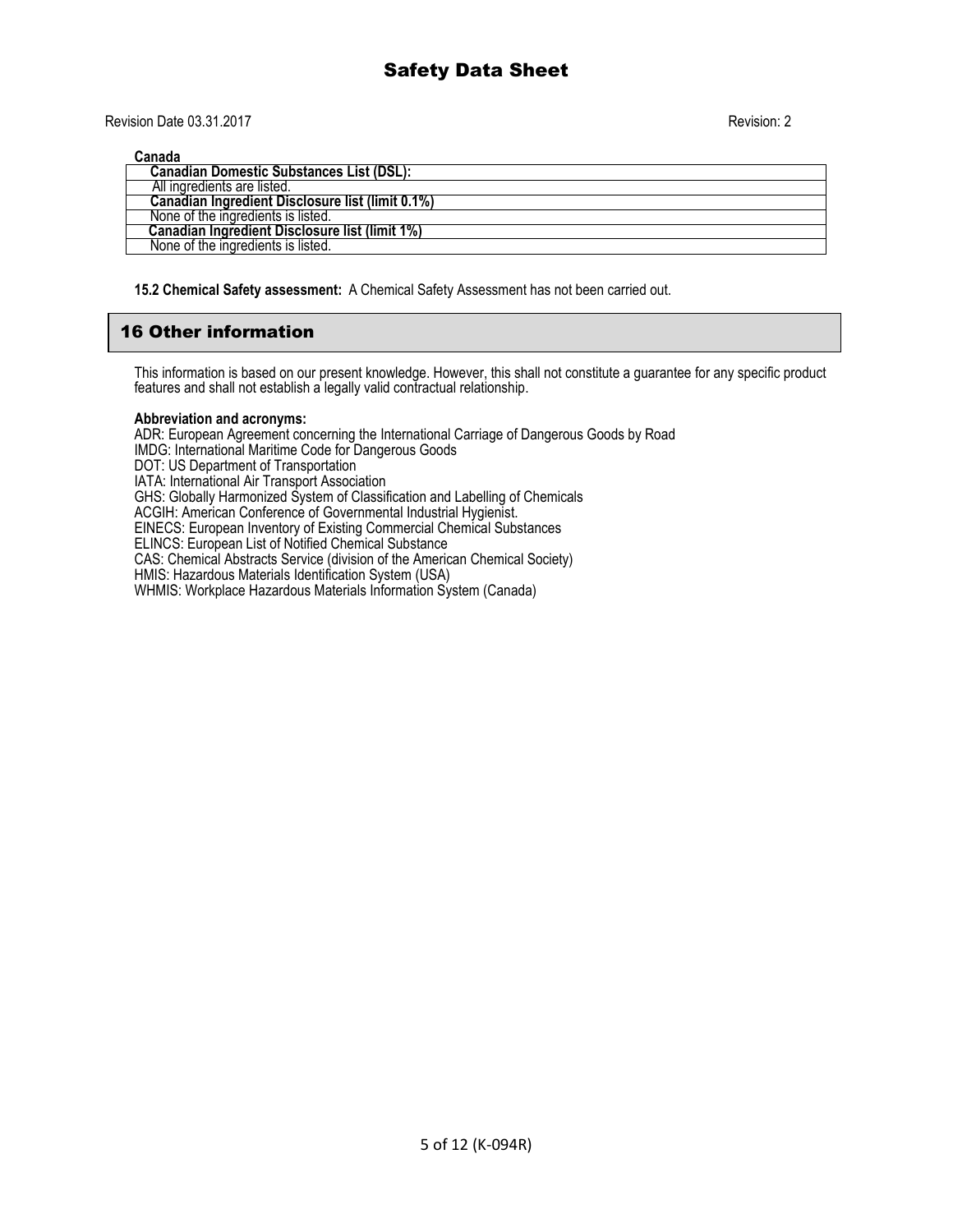Revision Date 03.31.2017 **Revision: 2 Revision: 2 Revision: 2** 

| Canada                                                |
|-------------------------------------------------------|
| Canadian Domestic Substances List (DSL):              |
| All ingredients are listed.                           |
| Canadian Ingredient Disclosure list (limit 0.1%)      |
| None of the ingredients is listed.                    |
| <b>Canadian Ingredient Disclosure list (limit 1%)</b> |
| None of the ingredients is listed.                    |

**15.2 Chemical Safety assessment:** A Chemical Safety Assessment has not been carried out.

# 16 Other information

This information is based on our present knowledge. However, this shall not constitute a guarantee for any specific product features and shall not establish a legally valid contractual relationship.

# **Abbreviation and acronyms:**

ADR: European Agreement concerning the International Carriage of Dangerous Goods by Road IMDG: International Maritime Code for Dangerous Goods DOT: US Department of Transportation IATA: International Air Transport Association GHS: Globally Harmonized System of Classification and Labelling of Chemicals ACGIH: American Conference of Governmental Industrial Hygienist. EINECS: European Inventory of Existing Commercial Chemical Substances ELINCS: European List of Notified Chemical Substance CAS: Chemical Abstracts Service (division of the American Chemical Society) HMIS: Hazardous Materials Identification System (USA) WHMIS: Workplace Hazardous Materials Information System (Canada)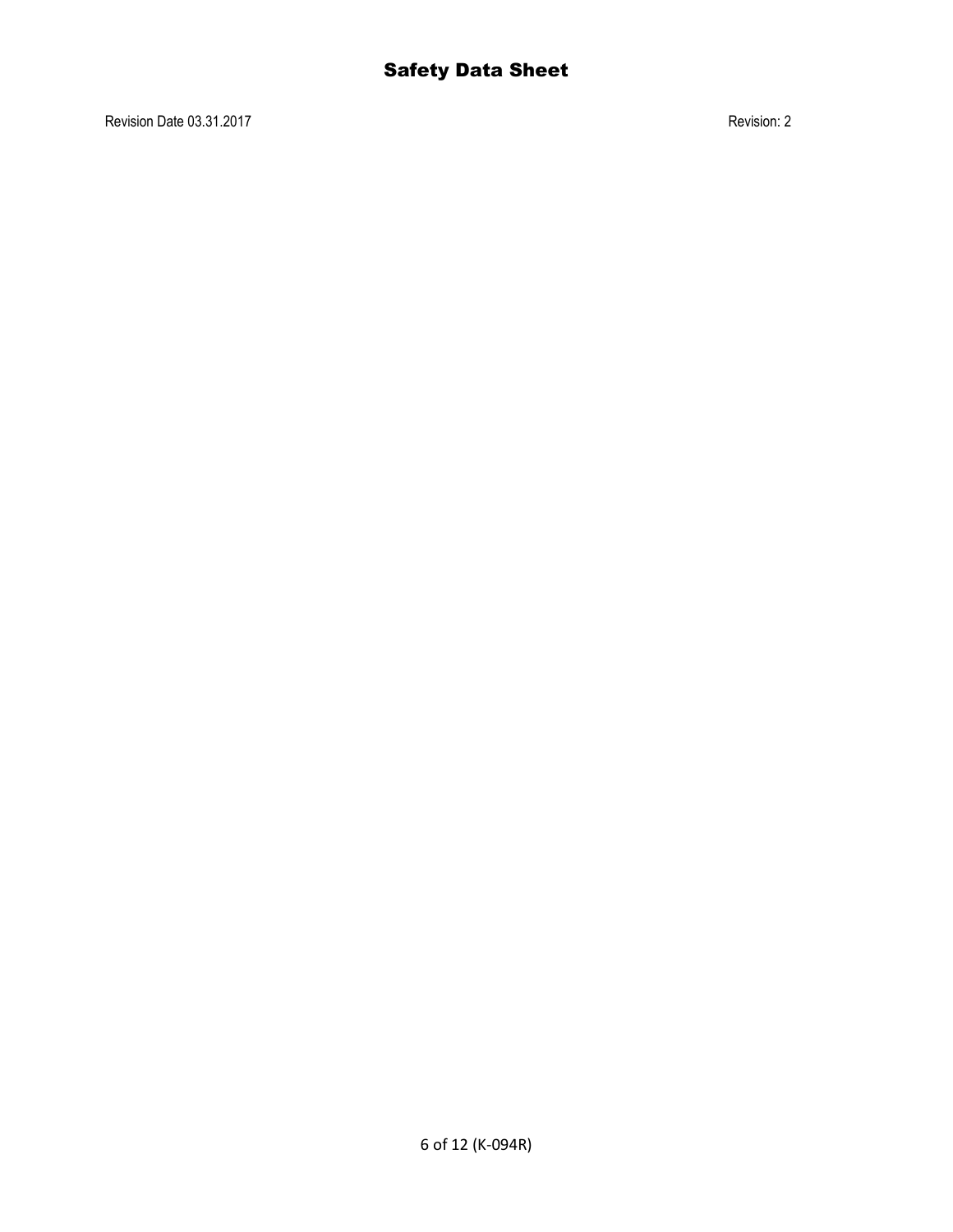Revision Date 03.31.2017 Revision: 2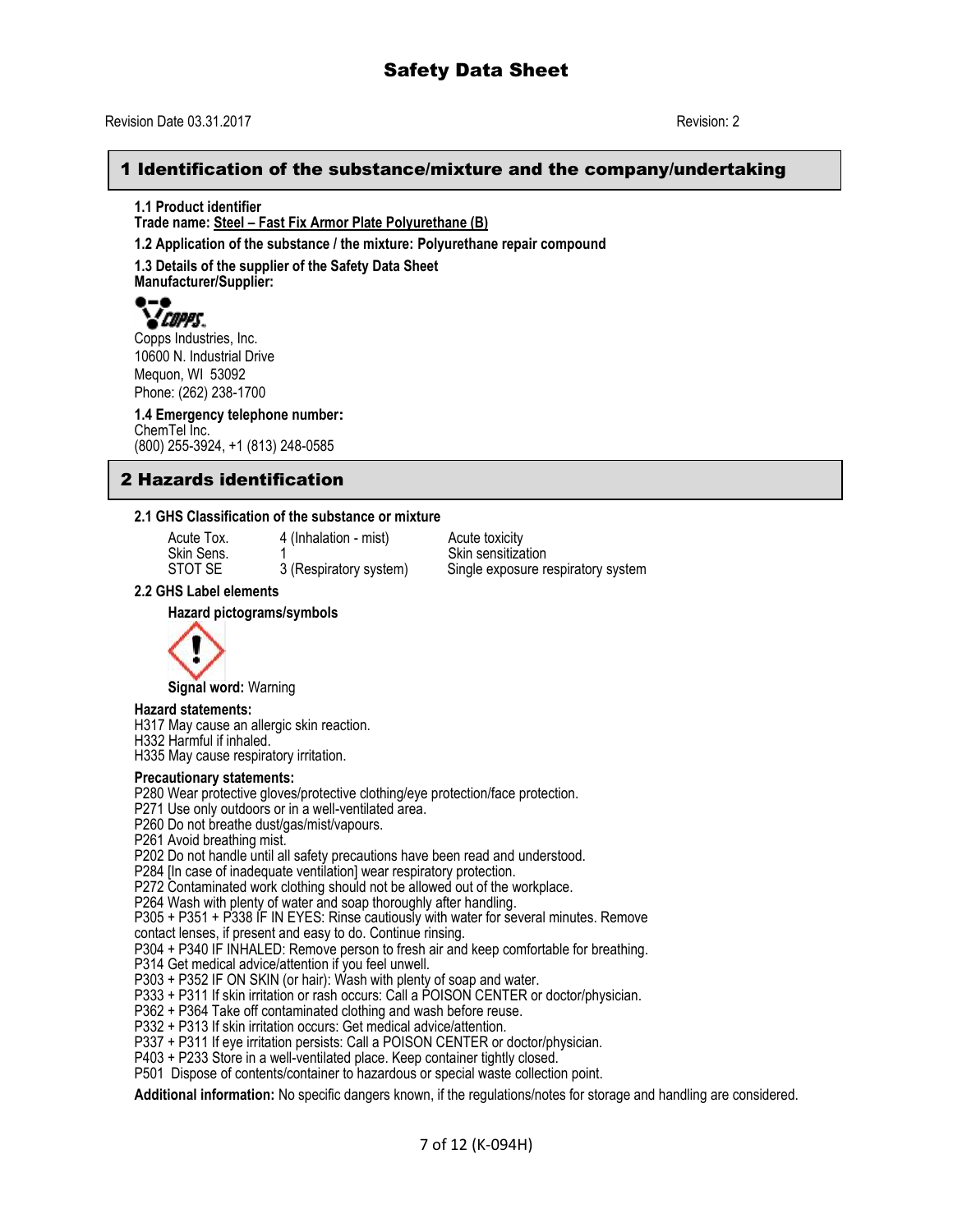### Revision Date 03.31.2017 Revision: 2

## 1 Identification of the substance/mixture and the company/undertaking

**1.1 Product identifier**

**Trade name: Steel – Fast Fix Armor Plate Polyurethane (B)**

**1.2 Application of the substance / the mixture: Polyurethane repair compound** 

**1.3 Details of the supplier of the Safety Data Sheet Manufacturer/Supplier:**



Copps Industries, Inc. 10600 N. Industrial Drive Mequon, WI 53092 Phone: (262) 238-1700

**1.4 Emergency telephone number:** ChemTel Inc. (800) 255-3924, +1 (813) 248-0585

# 2 Hazards identification

#### **2.1 GHS Classification of the substance or mixture**

Acute Tox. 4 (Inhalation - mist) Acute toxicity<br>Skin Sens. 1

Skin Sens. 1 1<br>STOT SE 3 (Respiratory system) Single exposure re 3 (Respiratory system) Single exposure respiratory system

#### **2.2 GHS Label elements**

#### **Hazard pictograms/symbols**



**Signal word:** Warning

#### **Hazard statements:**

H317 May cause an allergic skin reaction.

H332 Harmful if inhaled.

H335 May cause respiratory irritation.

### **Precautionary statements:**

P280 Wear protective gloves/protective clothing/eye protection/face protection.

P271 Use only outdoors or in a well-ventilated area.

P260 Do not breathe dust/gas/mist/vapours.

P261 Avoid breathing mist.

P202 Do not handle until all safety precautions have been read and understood.

P284 [In case of inadequate ventilation] wear respiratory protection.

P272 Contaminated work clothing should not be allowed out of the workplace.

P264 Wash with plenty of water and soap thoroughly after handling.

P305 + P351 + P338 IF IN EYES: Rinse cautiously with water for several minutes. Remove contact lenses, if present and easy to do. Continue rinsing.

P304 + P340 IF INHALED: Remove person to fresh air and keep comfortable for breathing.

P314 Get medical advice/attention if you feel unwell.

P303 + P352 IF ON SKIN (or hair): Wash with plenty of soap and water.

P333 + P311 If skin irritation or rash occurs: Call a POISON CENTER or doctor/physician.

P362 + P364 Take off contaminated clothing and wash before reuse.

P332 + P313 If skin irritation occurs: Get medical advice/attention.

P337 + P311 If eye irritation persists: Call a POISON CENTER or doctor/physician.

P403 + P233 Store in a well-ventilated place. Keep container tightly closed.

P501 Dispose of contents/container to hazardous or special waste collection point.

**Additional information:** No specific dangers known, if the regulations/notes for storage and handling are considered.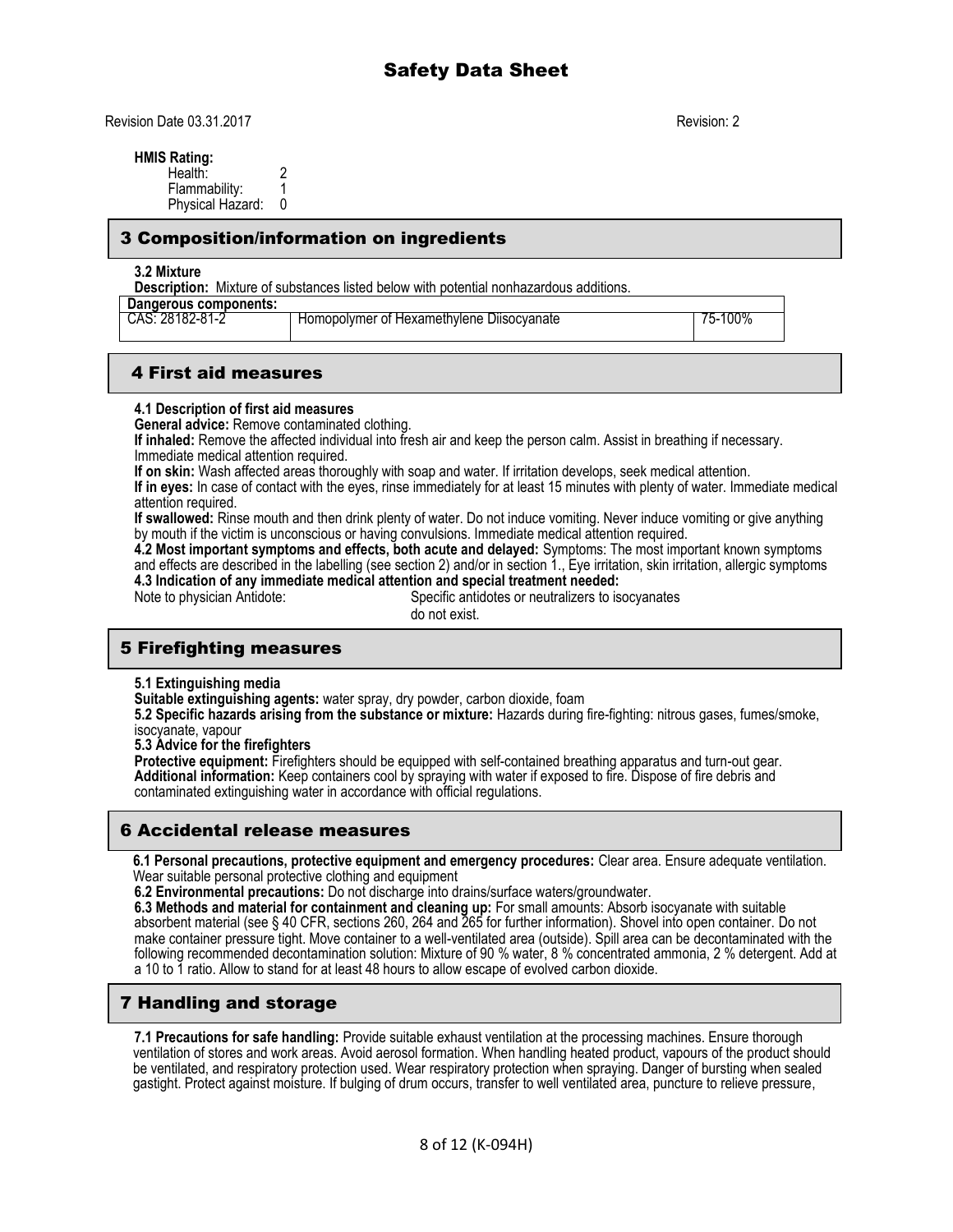Revision Date 03.31.2017 **Revision: 2 Revision: 2 Revision: 2** 

# **HMIS Rating:**

Health: 2 Flammability: 1<br>Physical Hazard: 0 Physical Hazard:

# 3 Composition/information on ingredients

#### **3.2 Mixture**

**Description:** Mixture of substances listed below with potential nonhazardous additions.

| Dangerous components: |                                           |             |
|-----------------------|-------------------------------------------|-------------|
| CAS: 28182-81-2       | Homopolymer of Hexamethylene Dilsocyanate | 100%<br>75- |

# 4 First aid measures

#### **4.1 Description of first aid measures**

**General advice:** Remove contaminated clothing.

**If inhaled:** Remove the affected individual into fresh air and keep the person calm. Assist in breathing if necessary. Immediate medical attention required.

**If on skin:** Wash affected areas thoroughly with soap and water. If irritation develops, seek medical attention.

**If in eyes:** In case of contact with the eyes, rinse immediately for at least 15 minutes with plenty of water. Immediate medical attention required.

**If swallowed:** Rinse mouth and then drink plenty of water. Do not induce vomiting. Never induce vomiting or give anything by mouth if the victim is unconscious or having convulsions. Immediate medical attention required.

**4.2 Most important symptoms and effects, both acute and delayed:** Symptoms: The most important known symptoms and effects are described in the labelling (see section 2) and/or in section 1., Eye irritation, skin irritation, allergic symptoms **4.3 Indication of any immediate medical attention and special treatment needed:**

Note to physician Antidote: Specific antidotes or neutralizers to isocyanates do not exist.

# 5 Firefighting measures

#### **5.1 Extinguishing media**

**Suitable extinguishing agents:** water spray, dry powder, carbon dioxide, foam

**5.2 Specific hazards arising from the substance or mixture:** Hazards during fire-fighting: nitrous gases, fumes/smoke, isocyanate, vapour

**5.3 Advice for the firefighters**

**Protective equipment:** Firefighters should be equipped with self-contained breathing apparatus and turn-out gear. **Additional information:** Keep containers cool by spraying with water if exposed to fire. Dispose of fire debris and contaminated extinguishing water in accordance with official regulations.

# 6 Accidental release measures

**6.1 Personal precautions, protective equipment and emergency procedures:** Clear area. Ensure adequate ventilation. Wear suitable personal protective clothing and equipment

**6.2 Environmental precautions:** Do not discharge into drains/surface waters/groundwater.

**6.3 Methods and material for containment and cleaning up:** For small amounts: Absorb isocyanate with suitable absorbent material (see § 40 CFR, sections 260, 264 and 265 for further information). Shovel into open container. Do not make container pressure tight. Move container to a well-ventilated area (outside). Spill area can be decontaminated with the following recommended decontamination solution: Mixture of 90 % water, 8 % concentrated ammonia, 2 % detergent. Add at a 10 to 1 ratio. Allow to stand for at least 48 hours to allow escape of evolved carbon dioxide.

# 7 Handling and storage

**7.1 Precautions for safe handling:** Provide suitable exhaust ventilation at the processing machines. Ensure thorough ventilation of stores and work areas. Avoid aerosol formation. When handling heated product, vapours of the product should be ventilated, and respiratory protection used. Wear respiratory protection when spraying. Danger of bursting when sealed gastight. Protect against moisture. If bulging of drum occurs, transfer to well ventilated area, puncture to relieve pressure,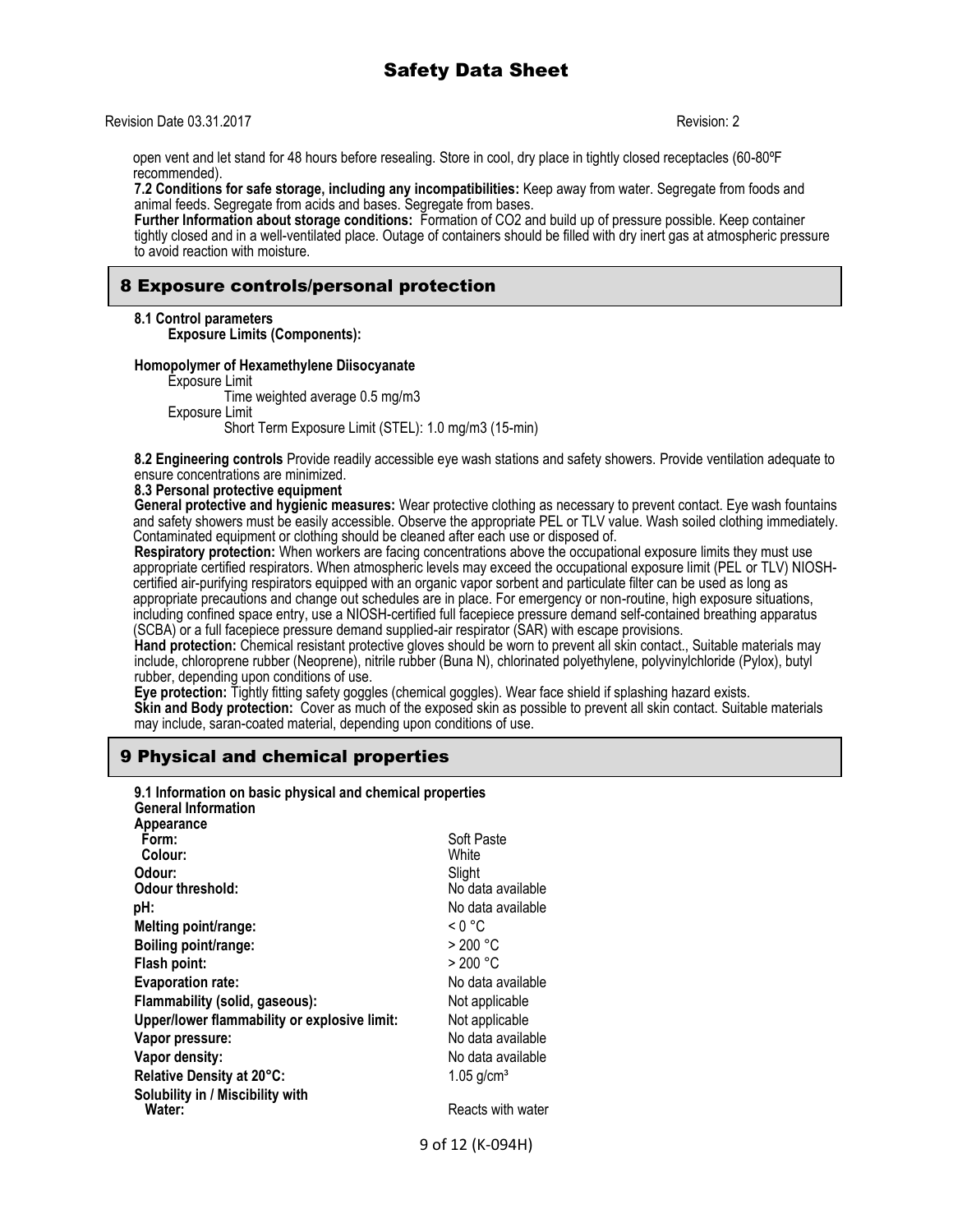Revision Date 03.31.2017 Revision: 2

open vent and let stand for 48 hours before resealing. Store in cool, dry place in tightly closed receptacles (60-80ºF recommended).

**7.2 Conditions for safe storage, including any incompatibilities:** Keep away from water. Segregate from foods and animal feeds. Segregate from acids and bases. Segregate from bases.

**Further Information about storage conditions:** Formation of CO2 and build up of pressure possible. Keep container tightly closed and in a well-ventilated place. Outage of containers should be filled with dry inert gas at atmospheric pressure to avoid reaction with moisture.

# 8 Exposure controls/personal protection

**8.1 Control parameters Exposure Limits (Components):**

#### **Homopolymer of Hexamethylene Diisocyanate**

Exposure Limit

Time weighted average 0.5 mg/m3 Exposure Limit Short Term Exposure Limit (STEL): 1.0 mg/m3 (15-min)

**8.2 Engineering controls** Provide readily accessible eye wash stations and safety showers. Provide ventilation adequate to ensure concentrations are minimized.

#### **8.3 Personal protective equipment**

**General protective and hygienic measures:** Wear protective clothing as necessary to prevent contact. Eye wash fountains and safety showers must be easily accessible. Observe the appropriate PEL or TLV value. Wash soiled clothing immediately. Contaminated equipment or clothing should be cleaned after each use or disposed of.

**Respiratory protection:** When workers are facing concentrations above the occupational exposure limits they must use appropriate certified respirators. When atmospheric levels may exceed the occupational exposure limit (PEL or TLV) NIOSHcertified air-purifying respirators equipped with an organic vapor sorbent and particulate filter can be used as long as appropriate precautions and change out schedules are in place. For emergency or non-routine, high exposure situations, including confined space entry, use a NIOSH-certified full facepiece pressure demand self-contained breathing apparatus (SCBA) or a full facepiece pressure demand supplied-air respirator (SAR) with escape provisions.

**Hand protection:** Chemical resistant protective gloves should be worn to prevent all skin contact., Suitable materials may include, chloroprene rubber (Neoprene), nitrile rubber (Buna N), chlorinated polyethylene, polyvinylchloride (Pylox), butyl rubber, depending upon conditions of use.

**Eye protection:** Tightly fitting safety goggles (chemical goggles). Wear face shield if splashing hazard exists. Skin and Body protection: Cover as much of the exposed skin as possible to prevent all skin contact. Suitable materials may include, saran-coated material, depending upon conditions of use.

# 9 Physical and chemical properties

| Appearance<br>Form:                          | Soft Paste               |
|----------------------------------------------|--------------------------|
| Colour:                                      | White                    |
| Odour:                                       | Slight                   |
| Odour threshold:                             | No data available        |
| pH:                                          | No data available        |
| Melting point/range:                         | < 0 ° C                  |
| Boiling point/range:                         | $>$ 200 °C               |
| Flash point:                                 | > 200 °C                 |
| <b>Evaporation rate:</b>                     | No data available        |
| Flammability (solid, gaseous):               | Not applicable           |
| Upper/lower flammability or explosive limit: | Not applicable           |
| Vapor pressure:                              | No data available        |
| Vapor density:                               | No data available        |
| Relative Density at 20°C:                    | $1.05$ g/cm <sup>3</sup> |
| Solubility in / Miscibility with             |                          |
| Water:                                       | Reacts with water        |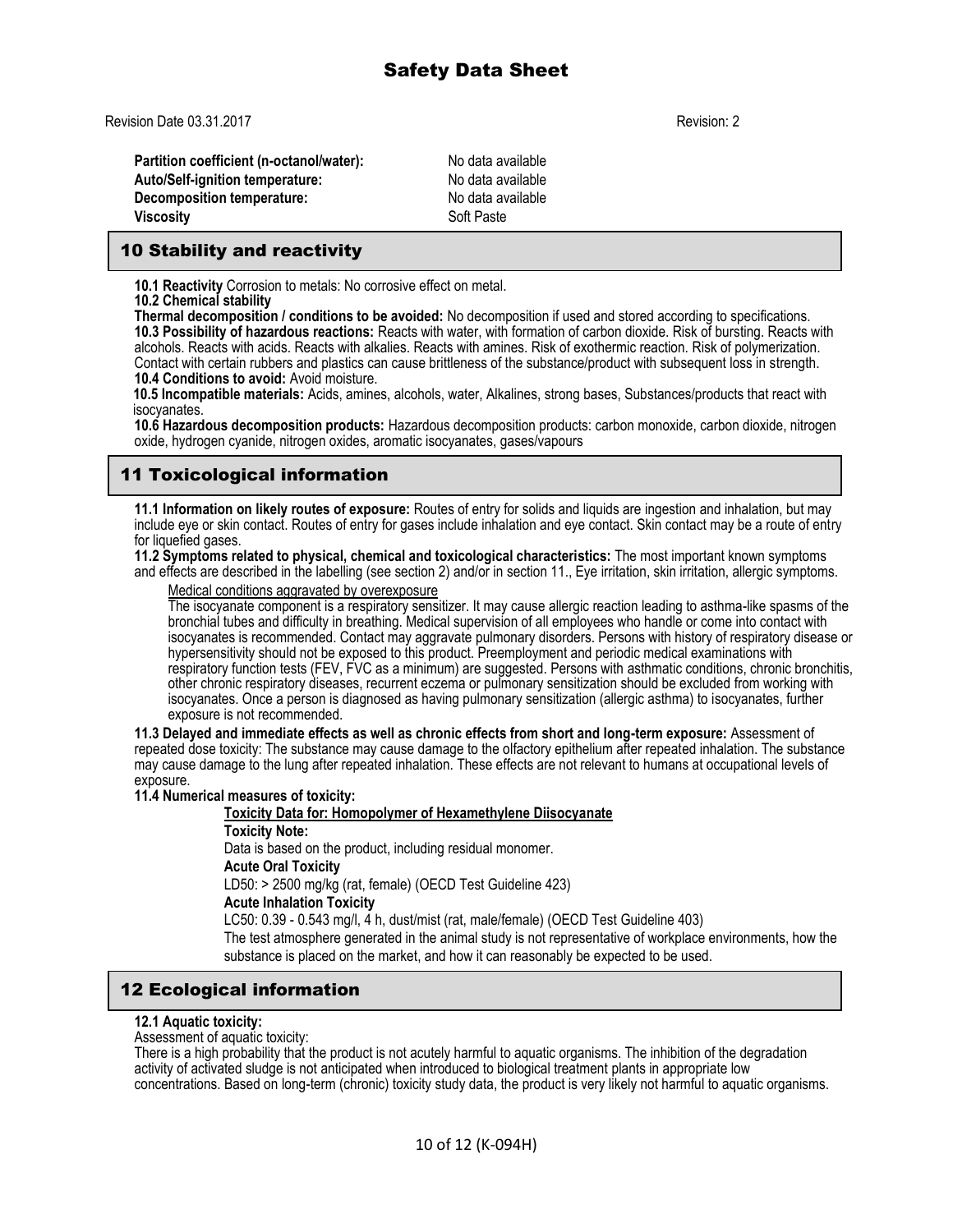Revision Date 03.31.2017 Revision: 2

**Partition coefficient (n-octanol/water):** No data available **Auto/Self-ignition temperature:** No data available **Decomposition temperature:** No data available **Viscosity** Soft Paste

# 10 Stability and reactivity

**10.1 Reactivity** Corrosion to metals: No corrosive effect on metal.

**10.2 Chemical stability**

**Thermal decomposition / conditions to be avoided:** No decomposition if used and stored according to specifications. **10.3 Possibility of hazardous reactions:** Reacts with water, with formation of carbon dioxide. Risk of bursting. Reacts with alcohols. Reacts with acids. Reacts with alkalies. Reacts with amines. Risk of exothermic reaction. Risk of polymerization. Contact with certain rubbers and plastics can cause brittleness of the substance/product with subsequent loss in strength. **10.4 Conditions to avoid:** Avoid moisture.

 **10.5 Incompatible materials:** Acids, amines, alcohols, water, Alkalines, strong bases, Substances/products that react with isocyanates.

**10.6 Hazardous decomposition products:** Hazardous decomposition products: carbon monoxide, carbon dioxide, nitrogen oxide, hydrogen cyanide, nitrogen oxides, aromatic isocyanates, gases/vapours

# 11 Toxicological information

**11.1 Information on likely routes of exposure:** Routes of entry for solids and liquids are ingestion and inhalation, but may include eye or skin contact. Routes of entry for gases include inhalation and eye contact. Skin contact may be a route of entry for liquefied gases.

**11.2 Symptoms related to physical, chemical and toxicological characteristics:** The most important known symptoms and effects are described in the labelling (see section 2) and/or in section 11., Eye irritation, skin irritation, allergic symptoms.

Medical conditions aggravated by overexposure

The isocyanate component is a respiratory sensitizer. It may cause allergic reaction leading to asthma-like spasms of the bronchial tubes and difficulty in breathing. Medical supervision of all employees who handle or come into contact with isocyanates is recommended. Contact may aggravate pulmonary disorders. Persons with history of respiratory disease or hypersensitivity should not be exposed to this product. Preemployment and periodic medical examinations with respiratory function tests (FEV, FVC as a minimum) are suggested. Persons with asthmatic conditions, chronic bronchitis, other chronic respiratory diseases, recurrent eczema or pulmonary sensitization should be excluded from working with isocyanates. Once a person is diagnosed as having pulmonary sensitization (allergic asthma) to isocyanates, further exposure is not recommended.

**11.3 Delayed and immediate effects as well as chronic effects from short and long-term exposure:** Assessment of repeated dose toxicity: The substance may cause damage to the olfactory epithelium after repeated inhalation. The substance may cause damage to the lung after repeated inhalation. These effects are not relevant to humans at occupational levels of exposure.

**11.4 Numerical measures of toxicity:** 

**Toxicity Data for: Homopolymer of Hexamethylene Diisocyanate**

**Toxicity Note:**

Data is based on the product, including residual monomer. **Acute Oral Toxicity**

LD50: > 2500 mg/kg (rat, female) (OECD Test Guideline 423)

**Acute Inhalation Toxicity**

LC50: 0.39 - 0.543 mg/l, 4 h, dust/mist (rat, male/female) (OECD Test Guideline 403)

The test atmosphere generated in the animal study is not representative of workplace environments, how the substance is placed on the market, and how it can reasonably be expected to be used.

# 12 Ecological information

## **12.1 Aquatic toxicity:**

Assessment of aquatic toxicity:

There is a high probability that the product is not acutely harmful to aquatic organisms. The inhibition of the degradation activity of activated sludge is not anticipated when introduced to biological treatment plants in appropriate low concentrations. Based on long-term (chronic) toxicity study data, the product is very likely not harmful to aquatic organisms.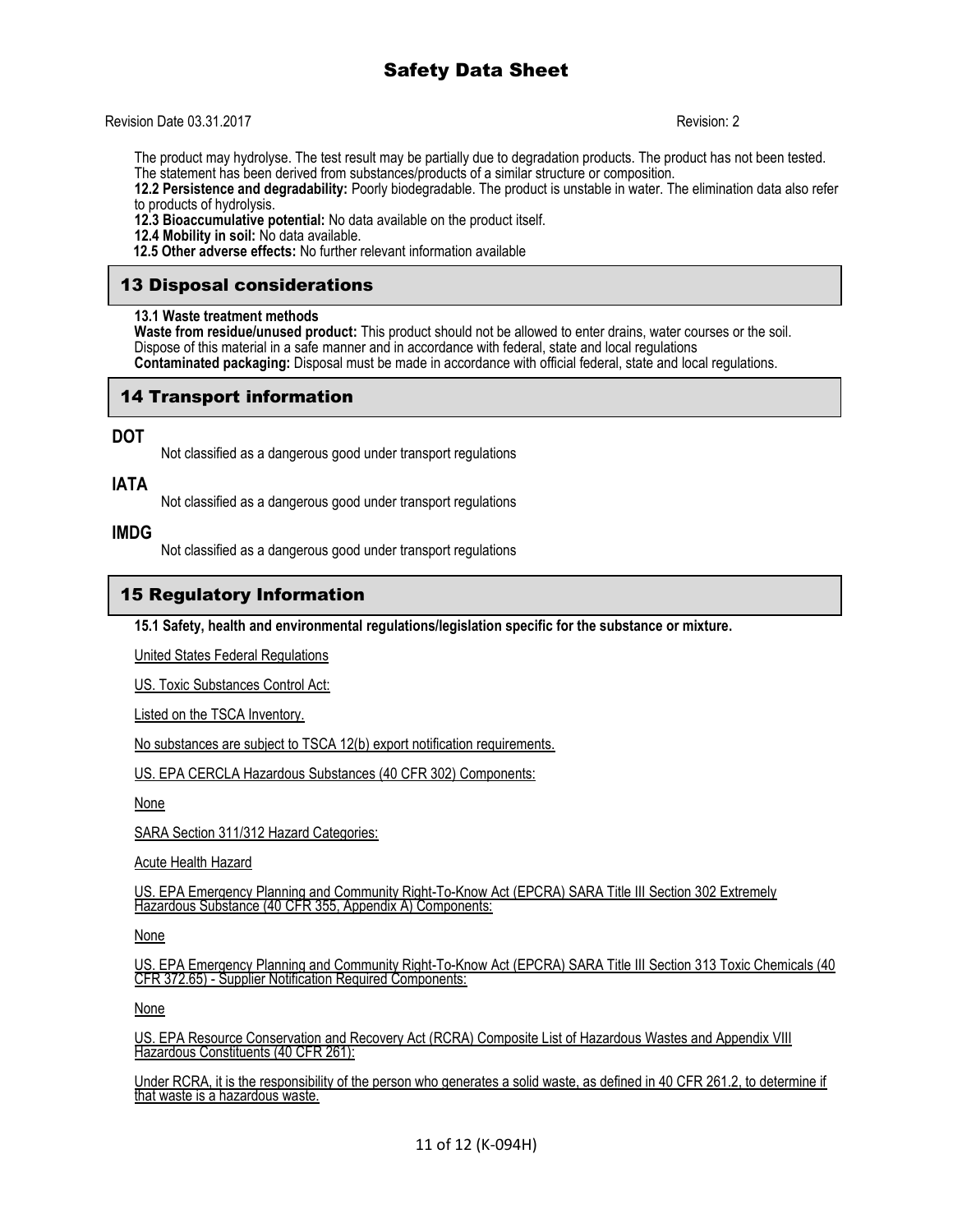## Revision Date 03.31.2017 Revision: 2

The product may hydrolyse. The test result may be partially due to degradation products. The product has not been tested. The statement has been derived from substances/products of a similar structure or composition.

**12.2 Persistence and degradability:** Poorly biodegradable. The product is unstable in water. The elimination data also refer to products of hydrolysis.

**12.3 Bioaccumulative potential:** No data available on the product itself.

**12.4 Mobility in soil:** No data available.

 **12.5 Other adverse effects:** No further relevant information available

# 13 Disposal considerations

#### **13.1 Waste treatment methods**

**Waste from residue/unused product:** This product should not be allowed to enter drains, water courses or the soil. Dispose of this material in a safe manner and in accordance with federal, state and local regulations **Contaminated packaging:** Disposal must be made in accordance with official federal, state and local regulations.

# 14 Transport information

### **DOT**

Not classified as a dangerous good under transport regulations

### **IATA**

Not classified as a dangerous good under transport regulations

## **IMDG**

Not classified as a dangerous good under transport regulations

# 15 Regulatory Information

**15.1 Safety, health and environmental regulations/legislation specific for the substance or mixture.**

United States Federal Regulations

US. Toxic Substances Control Act:

Listed on the TSCA Inventory.

No substances are subject to TSCA 12(b) export notification requirements.

US. EPA CERCLA Hazardous Substances (40 CFR 302) Components:

None

SARA Section 311/312 Hazard Categories:

Acute Health Hazard

US. EPA Emergency Planning and Community Right-To-Know Act (EPCRA) SARA Title III Section 302 Extremely Hazardous Substance (40 CFR 355, Appendix A) Components:

None

US. EPA Emergency Planning and Community Right-To-Know Act (EPCRA) SARA Title III Section 313 Toxic Chemicals (40 CFR 372.65) - Supplier Notification Required Components:

None

US. EPA Resource Conservation and Recovery Act (RCRA) Composite List of Hazardous Wastes and Appendix VIII Hazardous Constituents (40 CFR 261):

Under RCRA, it is the responsibility of the person who generates a solid waste, as defined in 40 CFR 261.2, to determine if that waste is a hazardous waste.